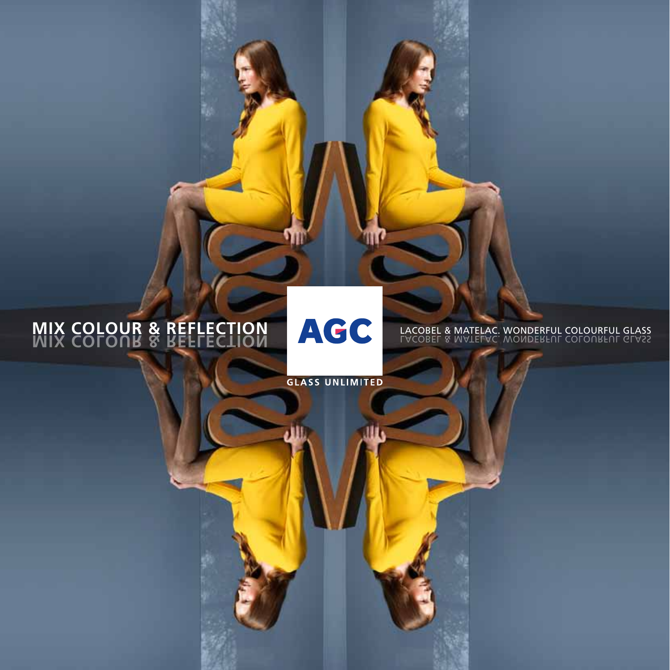#### **MIX COLOUR & REFLECTION<br>WIX COLOUR & REFLECTION MIX COLOUR & REFLECTION LACOBEL & MATELAC. WONDERFUL COLOURFUL GLASS**

**GLASS UNLIMITED**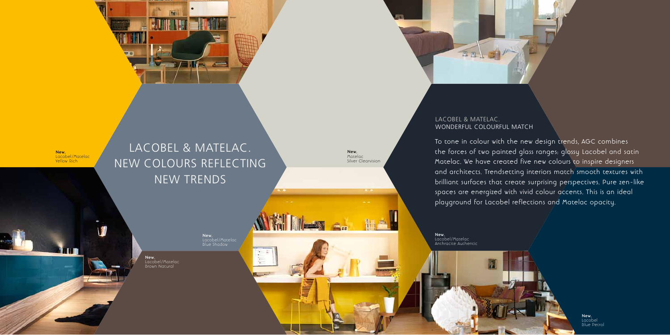### LACOBEL & MATELAC. NEW COLOURS REFLECTING NEW TRENDS

#### LACOBEL & MATELAC. WONDERFUL COLOURFUL MATCH

To tone in colour with the new design trends, AGC combines the forces of two painted glass ranges: glossy Lacobel and satin Matelac. We have created five new colours to inspire designers and architects. Trendsetting interiors match smooth textures with brilliant surfaces that create surprising perspectives. Pure zen-like spaces are energized with vivid colour accents. This is an ideal playground for Lacobel reflections and Matelac opacity.

**New.** Lacobel/Matelac Yellow Rich

> **New.** Lacobel/Matelac

**NEW REPORT** 

**New.** Lacobel/Matelac Brown Natural



**New.** Lacobel/Matelac Anthracite Authentic

**New.** Matelac Silver Clearvision

> **New.** Lacobel Blue Petrol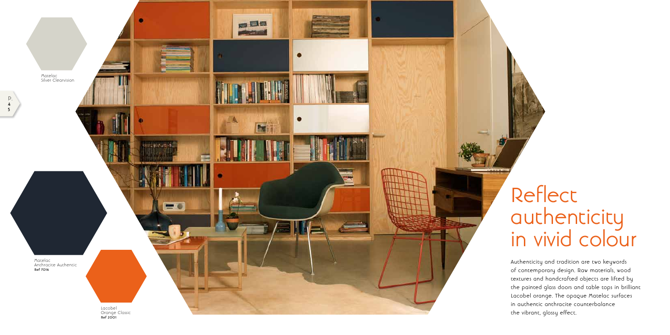

Authenticity and tradition are two keywords of contemporary design. Raw materials, wood textures and handcrafted objects are lifted by the painted glass doors and table tops in brilliant Lacobel orange. The opaque Matelac surfaces in authentic anthracite counterbalance the vibrant, glossy effect.

### Reflect authenticity in vivid colour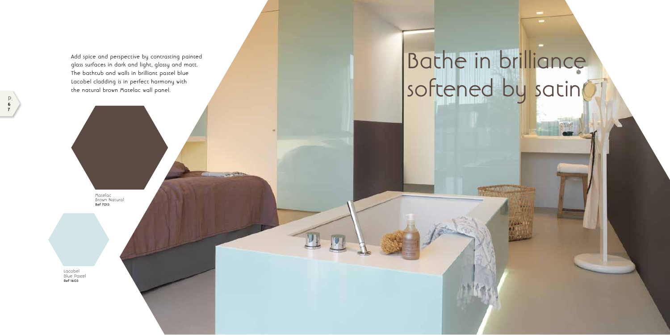P. **6 7**

# Bathe in brilliance softened by satin

Add spice and perspective by contrasting painted glass surfaces in dark and light, glossy and matt. The bathtub and walls in brilliant pastel blue Lacobel cladding is in perfect harmony with the natural brown Matelac wall panel.

Lacobel Blue Pastel **Ref 1603**

Matelac Brown Natural **Ref 7013**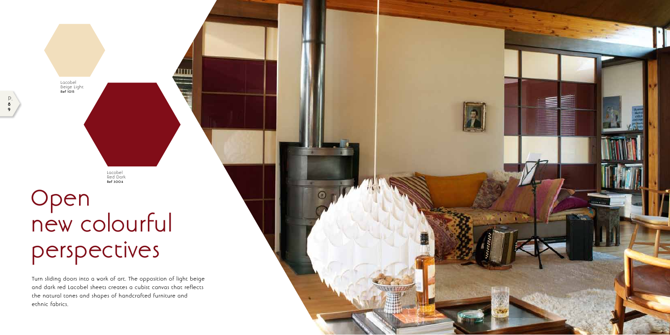

Turn sliding doors into a work of art. The opposition of light beige and dark red Lacobel sheets creates a cubist canvas that reflects the natural tones and shapes of handcrafted furniture and ethnic fabrics.

## Open new colourful perspectives

Lacobel Red Dark **Ref 3004**

Lacobel Beige Light **Ref 1015**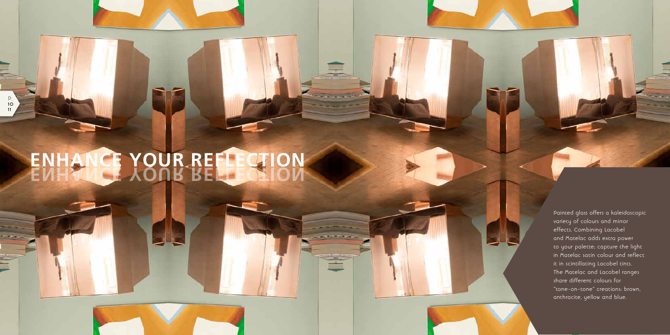P. **10 11**

> Painted glass offers a kaleidoscopic variety of colours and mirror effects. Combining Lacobel and Matelac adds extra power to your palette; capture the light in Matelac satin colour and reflect it in scintillating Lacobel tints. The Matelac and Lacobel ranges share different colours for "tone-on-tone" creations: brown, anthracite, yellow and blue.

# **ENHANCE YOUR REFLECTION ENHANCE YOUR REFLECTION**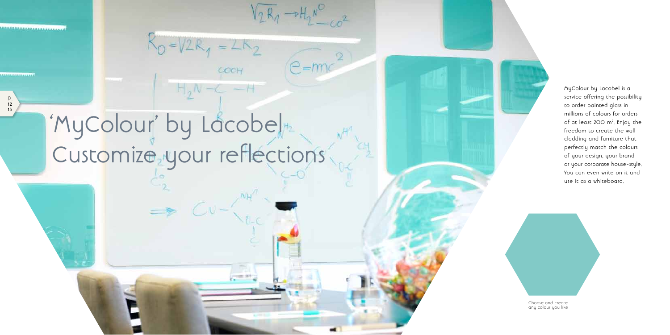$V_2R_1 - H_2R_0^o$ 

 $e = mc$ 

P. **12 13**

<u> 1991 - La Caracana (1992 - La Caracana (</u>



# Customize your reflections 'MyColour' by Lacobel

 $R_0 = V2R_1 = 2R_2$ 

COCH

MyColour by Lacobel is a service offering the possibility to order painted glass in millions of colours for orders of at least 200 m<sup>2</sup>. Enjoy the freedom to create the wall cladding and furniture that perfectly match the colours of your design, your brand or your corporate house-style. You can even write on it and use it as a whiteboard.

Choose and create any colour you like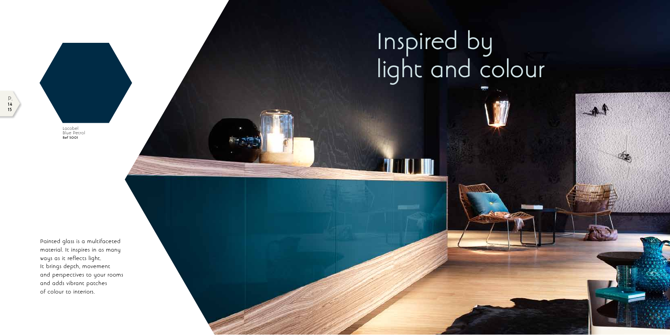P.





# Inspired by light and colour

**TUNO IN** 

Painted glass is a multifaceted material. It inspires in as many ways as it reflects light. It brings depth, movement and perspectives to your rooms and adds vibrant patches of colour to interiors.

Lacobel Blue Petrol **Ref 5001**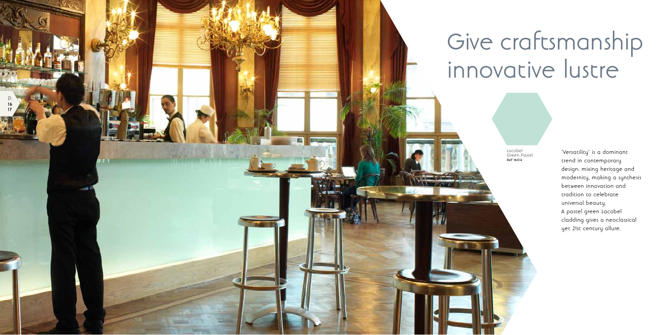

# Give craftsmanship innovative lustre

'Versatility' is a dominant trend in contemporary design: mixing heritage and modernity, making a synthesis between innovation and tradition to celebrate universal beauty. A pastel green Lacobel cladding gives a neoclassical yet 21st century allure.

Lacobel Green Pastel **Ref 1604**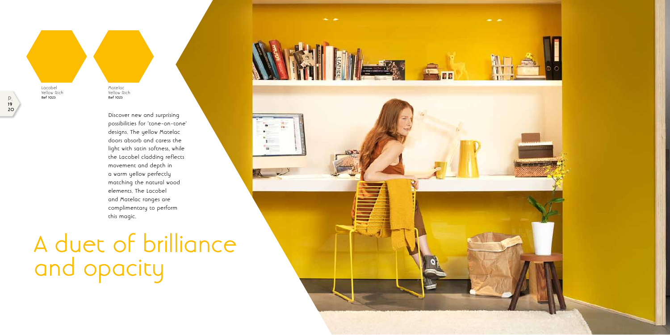## A duet of brilliance and opacity



Discover new and surprising possibilities for 'tone-on-tone' designs. The yellow Matelac doors absorb and caress the light with satin softness, while the Lacobel cladding reflects movement and depth in a warm yellow perfectly matching the natural wood elements. The Lacobel and Matelac ranges are complimentary to perform this magic.

Lacobel Yellow Rich **Ref 1023**

Matelac Yellow Rich **Ref 1023**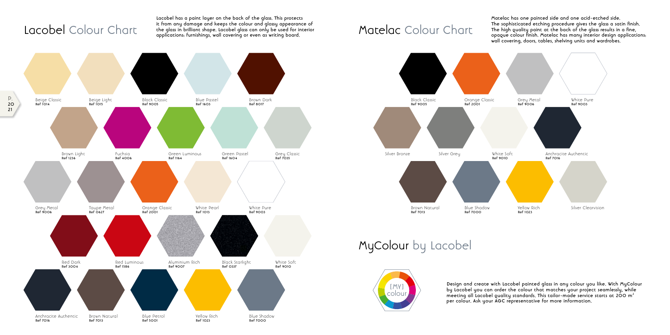**Lacobel has a paint layer on the back of the glass. This protects it from any damage and keeps the colour and glossy appearance of**  rt from any admage and Reeps the colour and glossy appearance of<br>the glass in brilliant shape. Lacobel glass can only be used for interior **Matelac Colour Chart**<br>applications: furnishings, wall covering or even as writing

#### Lacobel Colour Chart

**Matelac has one painted side and one acid-etched side. The sophisticated etching procedure gives the glass a satin finish. The high quality paint at the back of the glass results in a fine, opaque colour finish. Matelac has many interior design applications: wall covering, doors, tables, shelving units and wardrobes.**

MyColour by Lacobel



**Design and create with Lacobel painted glass in any colour you like. With MyColour by Lacobel you can order the colour that matches your project seamlessly, while meeting all Lacobel quality standards. This tailor-made service starts at 200 m2 per colour. Ask your AGC representative for more information.**



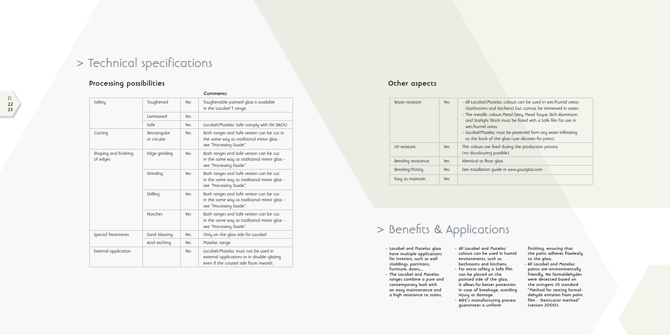colours can be used in wet/humid areas (hens) but cannot be immersed in water. Metal Grey, Metal Taupe, Rich Aluminium nust be fitted with a Safe film for use in

t be protected from any water infiltrating alass (use silicones for joints).

Juring the production process  $e$ ).

in www.yourglass.com

#### **Processing possibilities**

### > Technical specifications

#### **Other aspects**

### > Benefits & Applications

- **Lacobel and Matelac glass have multiple applications for interiors, such as wall claddings, partitions, furniture, doors,...**
- **The Lacobel and Matelac ranges combine a pure and contemporary look with an easy maintenance and a high resistance to stains.**
- **All Lacobel and Matelac colours can be used in humid environments, such as bathrooms and kitchens.**
- **For extra safety a Safe film can be placed on the painted side of the glass. It allows for better protection in case of breakage, avoiding injury or damage.**
- **AGC's manufacturing process guarantees a uniform**

**finishing, ensuring that the paint adheres flawlessly to the glass. - All Lacobel and Matelac paints are environmentally friendly. No formaldehydes were detected based on the stringent JIS standard "Method for testing formal dehyde emission from paint film - Desiccator method" (version 2000).**

|                                   |                            |            | Comments                                                                                                                    |
|-----------------------------------|----------------------------|------------|-----------------------------------------------------------------------------------------------------------------------------|
| Safety                            | Toughened                  | <b>No</b>  | Toughenable painted glass is available<br>in the Lacobel T range.                                                           |
|                                   | Laminated                  | <b>No</b>  |                                                                                                                             |
|                                   | Safe                       | Yes        | Lacobel/Matelac Safe comply with EN 12600                                                                                   |
| Cutting                           | Rectangular<br>or circular | Yes        | Both ranges and Safe version can be cut in<br>the same way as traditional mirror glass -<br>see "Processing Guide".         |
| Shaping and finishing<br>of edges | Edge grinding              | Yes        | Both ranges and Safe version can be cut<br>in the same way as traditional mirror glass -<br>see "Processing Guide".         |
|                                   | Grinding                   | <b>Yes</b> | Both ranges and Safe version can be cut<br>in the same way as traditional mirror glass -<br>see "Processing Guide".         |
|                                   | Drilling                   | Yes        | Both ranges and Safe version can be cut<br>in the same way as traditional mirror glass -<br>see "Processing Guide".         |
|                                   | <b>Notches</b>             | <b>Yes</b> | Both ranges and Safe version can be cut<br>in the same way as traditional mirror glass -<br>see "Processing Guide".         |
| Special Treatments                | Sand-blasting              | Yes        | Only on the glass side for Lacobel                                                                                          |
|                                   | Acid-etching               | Yes        | Matelac range                                                                                                               |
| External application              |                            | <b>No</b>  | Lacobel/Matelac must not be used in<br>external applications or in double-glazing<br>even if the coated side faces inwards. |

| Water resistant    | <b>Yes</b> | - All Lacobel/Matelac o<br>(bathrooms and kitcl<br>- The metallic colours $\wedge$<br>and Starlight Black m<br>wet/humid areas.<br>- Lacobel/Matelac must<br>at the back of the q |
|--------------------|------------|-----------------------------------------------------------------------------------------------------------------------------------------------------------------------------------|
| UV resistant       | <b>Yes</b> | The colours are fixed d<br>(no discolouring possib                                                                                                                                |
| Bending resistance | <b>Yes</b> | Identical to float glass                                                                                                                                                          |
| Bending/Fitting    | Yes        | See installation quide i                                                                                                                                                          |
| Easy to maintain   | <b>Yes</b> |                                                                                                                                                                                   |
|                    |            |                                                                                                                                                                                   |